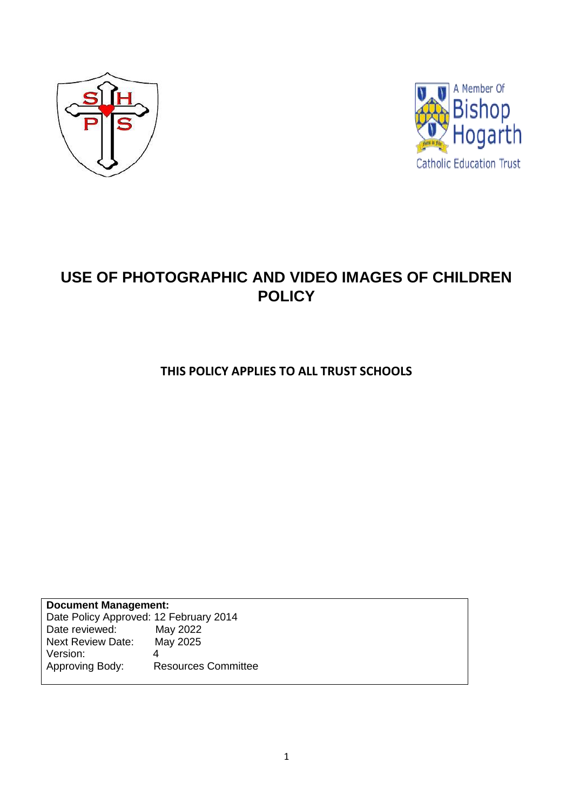



# **USE OF PHOTOGRAPHIC AND VIDEO IMAGES OF CHILDREN POLICY**

**THIS POLICY APPLIES TO ALL TRUST SCHOOLS**

**Document Management:** Date Policy Approved: 12 February 2014<br>Date reviewed: May 2022 Date reviewed: May 2022<br>Next Review Date: May 2025 Next Review Date: Version: 4<br>Approving Body: R Resources Committee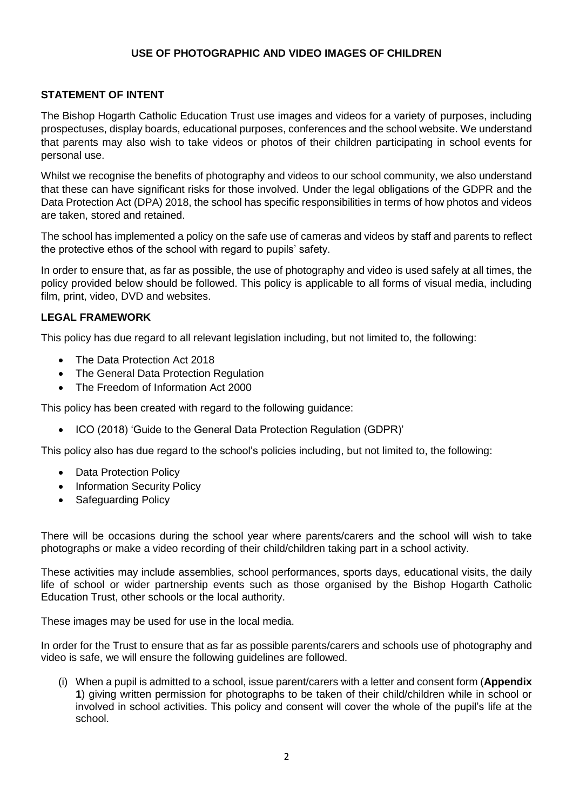#### **USE OF PHOTOGRAPHIC AND VIDEO IMAGES OF CHILDREN**

#### **STATEMENT OF INTENT**

The Bishop Hogarth Catholic Education Trust use images and videos for a variety of purposes, including prospectuses, display boards, educational purposes, conferences and the school website. We understand that parents may also wish to take videos or photos of their children participating in school events for personal use.

Whilst we recognise the benefits of photography and videos to our school community, we also understand that these can have significant risks for those involved. Under the legal obligations of the GDPR and the Data Protection Act (DPA) 2018, the school has specific responsibilities in terms of how photos and videos are taken, stored and retained.

The school has implemented a policy on the safe use of cameras and videos by staff and parents to reflect the protective ethos of the school with regard to pupils' safety.

In order to ensure that, as far as possible, the use of photography and video is used safely at all times, the policy provided below should be followed. This policy is applicable to all forms of visual media, including film, print, video, DVD and websites.

#### **LEGAL FRAMEWORK**

This policy has due regard to all relevant legislation including, but not limited to, the following:

- The Data Protection Act 2018
- The General Data Protection Regulation
- The Freedom of Information Act 2000

This policy has been created with regard to the following guidance:

• ICO (2018) 'Guide to the General Data Protection Regulation (GDPR)'

This policy also has due regard to the school's policies including, but not limited to, the following:

- Data Protection Policy
- Information Security Policy
- Safeguarding Policy

There will be occasions during the school year where parents/carers and the school will wish to take photographs or make a video recording of their child/children taking part in a school activity.

These activities may include assemblies, school performances, sports days, educational visits, the daily life of school or wider partnership events such as those organised by the Bishop Hogarth Catholic Education Trust, other schools or the local authority.

These images may be used for use in the local media.

In order for the Trust to ensure that as far as possible parents/carers and schools use of photography and video is safe, we will ensure the following guidelines are followed.

(i) When a pupil is admitted to a school, issue parent/carers with a letter and consent form (**Appendix 1**) giving written permission for photographs to be taken of their child/children while in school or involved in school activities. This policy and consent will cover the whole of the pupil's life at the school.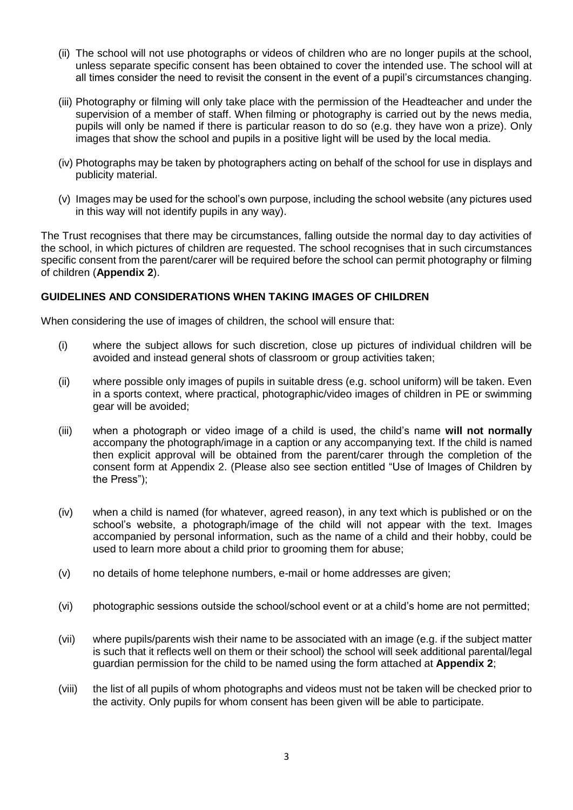- (ii) The school will not use photographs or videos of children who are no longer pupils at the school, unless separate specific consent has been obtained to cover the intended use. The school will at all times consider the need to revisit the consent in the event of a pupil's circumstances changing.
- (iii) Photography or filming will only take place with the permission of the Headteacher and under the supervision of a member of staff. When filming or photography is carried out by the news media, pupils will only be named if there is particular reason to do so (e.g. they have won a prize). Only images that show the school and pupils in a positive light will be used by the local media.
- (iv) Photographs may be taken by photographers acting on behalf of the school for use in displays and publicity material.
- (v) Images may be used for the school's own purpose, including the school website (any pictures used in this way will not identify pupils in any way).

The Trust recognises that there may be circumstances, falling outside the normal day to day activities of the school, in which pictures of children are requested. The school recognises that in such circumstances specific consent from the parent/carer will be required before the school can permit photography or filming of children (**Appendix 2**).

#### **GUIDELINES AND CONSIDERATIONS WHEN TAKING IMAGES OF CHILDREN**

When considering the use of images of children, the school will ensure that:

- (i) where the subject allows for such discretion, close up pictures of individual children will be avoided and instead general shots of classroom or group activities taken;
- (ii) where possible only images of pupils in suitable dress (e.g. school uniform) will be taken. Even in a sports context, where practical, photographic/video images of children in PE or swimming gear will be avoided;
- (iii) when a photograph or video image of a child is used, the child's name **will not normally** accompany the photograph/image in a caption or any accompanying text. If the child is named then explicit approval will be obtained from the parent/carer through the completion of the consent form at Appendix 2. (Please also see section entitled "Use of Images of Children by the Press");
- (iv) when a child is named (for whatever, agreed reason), in any text which is published or on the school's website, a photograph/image of the child will not appear with the text. Images accompanied by personal information, such as the name of a child and their hobby, could be used to learn more about a child prior to grooming them for abuse;
- (v) no details of home telephone numbers, e-mail or home addresses are given;
- (vi) photographic sessions outside the school/school event or at a child's home are not permitted;
- (vii) where pupils/parents wish their name to be associated with an image (e.g. if the subject matter is such that it reflects well on them or their school) the school will seek additional parental/legal guardian permission for the child to be named using the form attached at **Appendix 2**;
- (viii) the list of all pupils of whom photographs and videos must not be taken will be checked prior to the activity. Only pupils for whom consent has been given will be able to participate.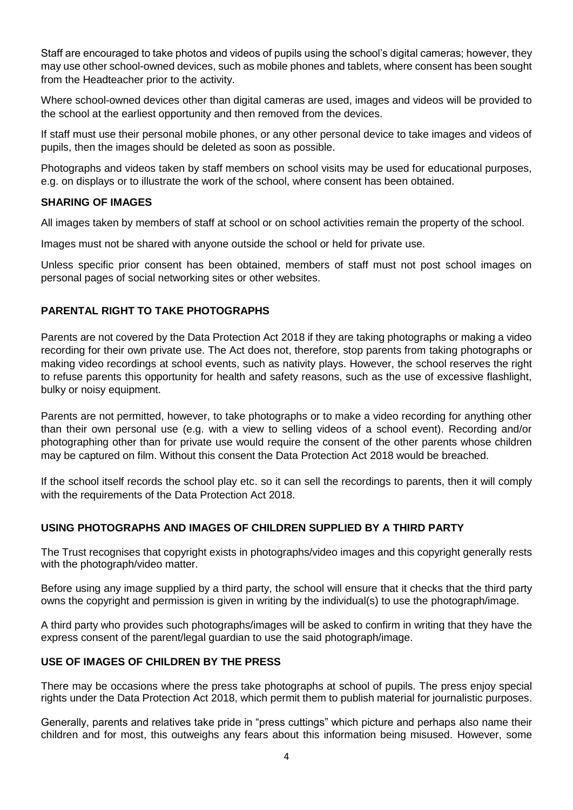Staff are encouraged to take photos and videos of pupils using the school's digital cameras; however, they may use other school-owned devices, such as mobile phones and tablets, where consent has been sought from the Headteacher prior to the activity.

Where school-owned devices other than digital cameras are used, images and videos will be provided to the school at the earliest opportunity and then removed from the devices.

If staff must use their personal mobile phones, or any other personal device to take images and videos of pupils, then the images should be deleted as soon as possible.

Photographs and videos taken by staff members on school visits may be used for educational purposes, e.g. on displays or to illustrate the work of the school, where consent has been obtained.

#### **SHARING OF IMAGES**

All images taken by members of staff at school or on school activities remain the property of the school.

Images must not be shared with anyone outside the school or held for private use.

Unless specific prior consent has been obtained, members of staff must not post school images on personal pages of social networking sites or other websites.

#### **PARENTAL RIGHT TO TAKE PHOTOGRAPHS**

Parents are not covered by the Data Protection Act 2018 if they are taking photographs or making a video recording for their own private use. The Act does not, therefore, stop parents from taking photographs or making video recordings at school events, such as nativity plays. However, the school reserves the right to refuse parents this opportunity for health and safety reasons, such as the use of excessive flashlight, bulky or noisy equipment.

Parents are not permitted, however, to take photographs or to make a video recording for anything other than their own personal use (e.g. with a view to selling videos of a school event). Recording and/or photographing other than for private use would require the consent of the other parents whose children may be captured on film. Without this consent the Data Protection Act 2018 would be breached.

If the school itself records the school play etc. so it can sell the recordings to parents, then it will comply with the requirements of the Data Protection Act 2018.

#### **USING PHOTOGRAPHS AND IMAGES OF CHILDREN SUPPLIED BY A THIRD PARTY**

The Trust recognises that copyright exists in photographs/video images and this copyright generally rests with the photograph/video matter.

Before using any image supplied by a third party, the school will ensure that it checks that the third party owns the copyright and permission is given in writing by the individual(s) to use the photograph/image.

A third party who provides such photographs/images will be asked to confirm in writing that they have the express consent of the parent/legal guardian to use the said photograph/image.

#### **USE OF IMAGES OF CHILDREN BY THE PRESS**

There may be occasions where the press take photographs at school of pupils. The press enjoy special rights under the Data Protection Act 2018, which permit them to publish material for journalistic purposes.

Generally, parents and relatives take pride in "press cuttings" which picture and perhaps also name their children and for most, this outweighs any fears about this information being misused. However, some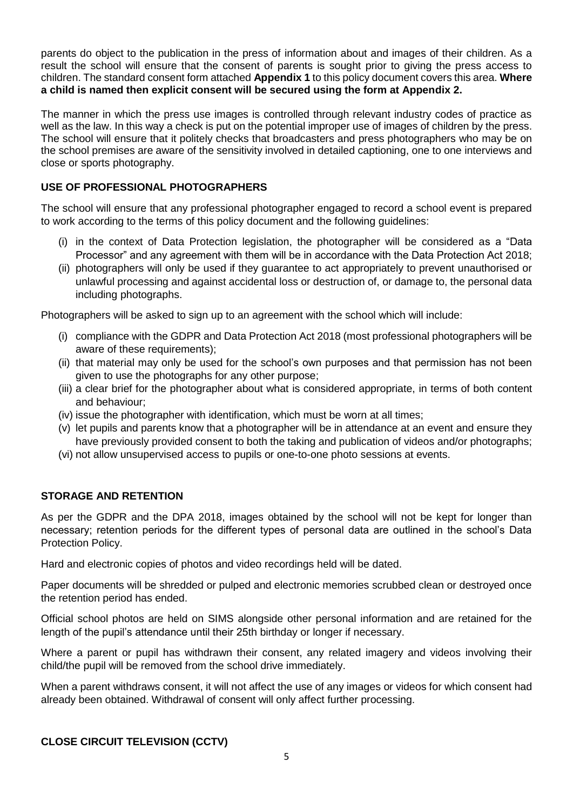parents do object to the publication in the press of information about and images of their children. As a result the school will ensure that the consent of parents is sought prior to giving the press access to children. The standard consent form attached **Appendix 1** to this policy document covers this area. **Where a child is named then explicit consent will be secured using the form at Appendix 2.** 

The manner in which the press use images is controlled through relevant industry codes of practice as well as the law. In this way a check is put on the potential improper use of images of children by the press. The school will ensure that it politely checks that broadcasters and press photographers who may be on the school premises are aware of the sensitivity involved in detailed captioning, one to one interviews and close or sports photography.

## **USE OF PROFESSIONAL PHOTOGRAPHERS**

The school will ensure that any professional photographer engaged to record a school event is prepared to work according to the terms of this policy document and the following guidelines:

- (i) in the context of Data Protection legislation, the photographer will be considered as a "Data Processor" and any agreement with them will be in accordance with the Data Protection Act 2018;
- (ii) photographers will only be used if they guarantee to act appropriately to prevent unauthorised or unlawful processing and against accidental loss or destruction of, or damage to, the personal data including photographs.

Photographers will be asked to sign up to an agreement with the school which will include:

- (i) compliance with the GDPR and Data Protection Act 2018 (most professional photographers will be aware of these requirements);
- (ii) that material may only be used for the school's own purposes and that permission has not been given to use the photographs for any other purpose;
- (iii) a clear brief for the photographer about what is considered appropriate, in terms of both content and behaviour;
- (iv) issue the photographer with identification, which must be worn at all times;
- (v) let pupils and parents know that a photographer will be in attendance at an event and ensure they have previously provided consent to both the taking and publication of videos and/or photographs;
- (vi) not allow unsupervised access to pupils or one-to-one photo sessions at events.

### **STORAGE AND RETENTION**

As per the GDPR and the DPA 2018, images obtained by the school will not be kept for longer than necessary; retention periods for the different types of personal data are outlined in the school's Data Protection Policy.

Hard and electronic copies of photos and video recordings held will be dated.

Paper documents will be shredded or pulped and electronic memories scrubbed clean or destroyed once the retention period has ended.

Official school photos are held on SIMS alongside other personal information and are retained for the length of the pupil's attendance until their 25th birthday or longer if necessary.

Where a parent or pupil has withdrawn their consent, any related imagery and videos involving their child/the pupil will be removed from the school drive immediately.

When a parent withdraws consent, it will not affect the use of any images or videos for which consent had already been obtained. Withdrawal of consent will only affect further processing.

### **CLOSE CIRCUIT TELEVISION (CCTV)**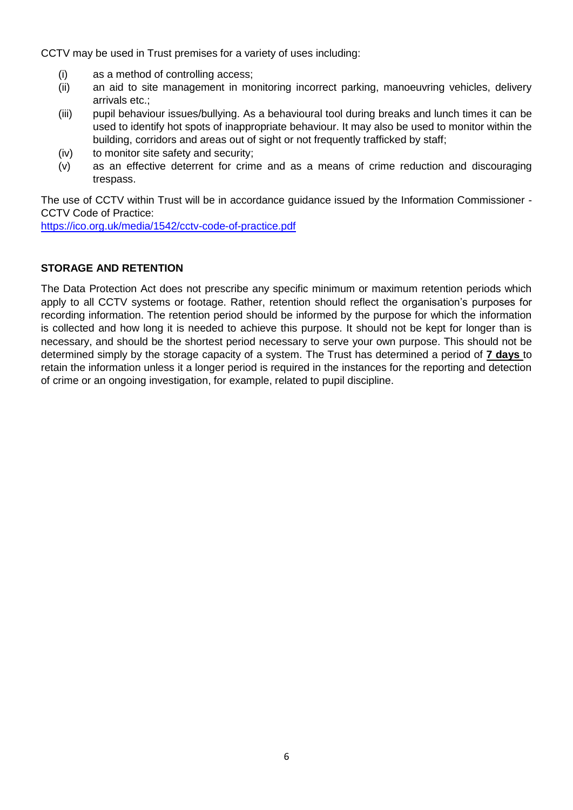CCTV may be used in Trust premises for a variety of uses including:

- (i) as a method of controlling access;
- (ii) an aid to site management in monitoring incorrect parking, manoeuvring vehicles, delivery arrivals etc.;
- (iii) pupil behaviour issues/bullying. As a behavioural tool during breaks and lunch times it can be used to identify hot spots of inappropriate behaviour. It may also be used to monitor within the building, corridors and areas out of sight or not frequently trafficked by staff;
- (iv) to monitor site safety and security;
- (v) as an effective deterrent for crime and as a means of crime reduction and discouraging trespass.

The use of CCTV within Trust will be in accordance guidance issued by the Information Commissioner - CCTV Code of Practice:

<https://ico.org.uk/media/1542/cctv-code-of-practice.pdf>

### **STORAGE AND RETENTION**

The Data Protection Act does not prescribe any specific minimum or maximum retention periods which apply to all CCTV systems or footage. Rather, retention should reflect the organisation's purposes for recording information. The retention period should be informed by the purpose for which the information is collected and how long it is needed to achieve this purpose. It should not be kept for longer than is necessary, and should be the shortest period necessary to serve your own purpose. This should not be determined simply by the storage capacity of a system. The Trust has determined a period of **7 days** to retain the information unless it a longer period is required in the instances for the reporting and detection of crime or an ongoing investigation, for example, related to pupil discipline.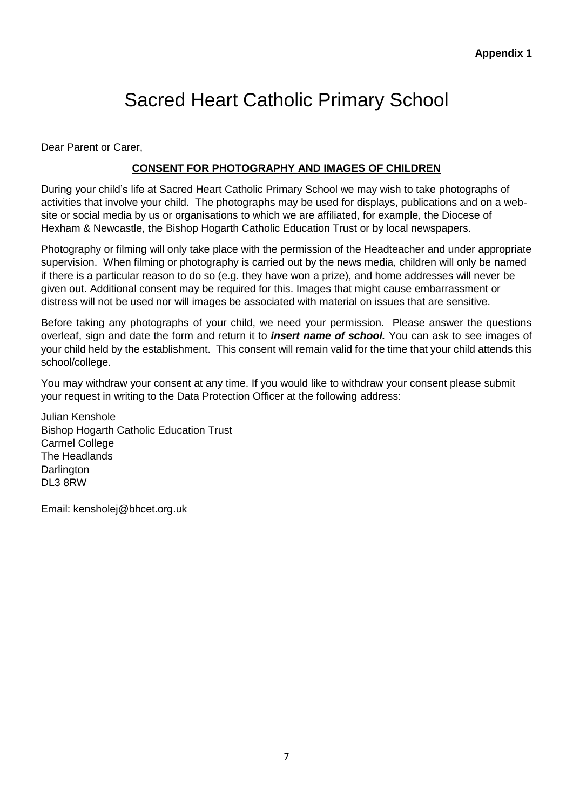# Sacred Heart Catholic Primary School

Dear Parent or Carer,

# **CONSENT FOR PHOTOGRAPHY AND IMAGES OF CHILDREN**

During your child's life at Sacred Heart Catholic Primary School we may wish to take photographs of activities that involve your child. The photographs may be used for displays, publications and on a website or social media by us or organisations to which we are affiliated, for example, the Diocese of Hexham & Newcastle, the Bishop Hogarth Catholic Education Trust or by local newspapers.

Photography or filming will only take place with the permission of the Headteacher and under appropriate supervision. When filming or photography is carried out by the news media, children will only be named if there is a particular reason to do so (e.g. they have won a prize), and home addresses will never be given out. Additional consent may be required for this. Images that might cause embarrassment or distress will not be used nor will images be associated with material on issues that are sensitive.

Before taking any photographs of your child, we need your permission. Please answer the questions overleaf, sign and date the form and return it to *insert name of school.* You can ask to see images of your child held by the establishment. This consent will remain valid for the time that your child attends this school/college.

You may withdraw your consent at any time. If you would like to withdraw your consent please submit your request in writing to the Data Protection Officer at the following address:

Julian Kenshole Bishop Hogarth Catholic Education Trust Carmel College The Headlands **Darlington** DL3 8RW

Email: kensholej@bhcet.org.uk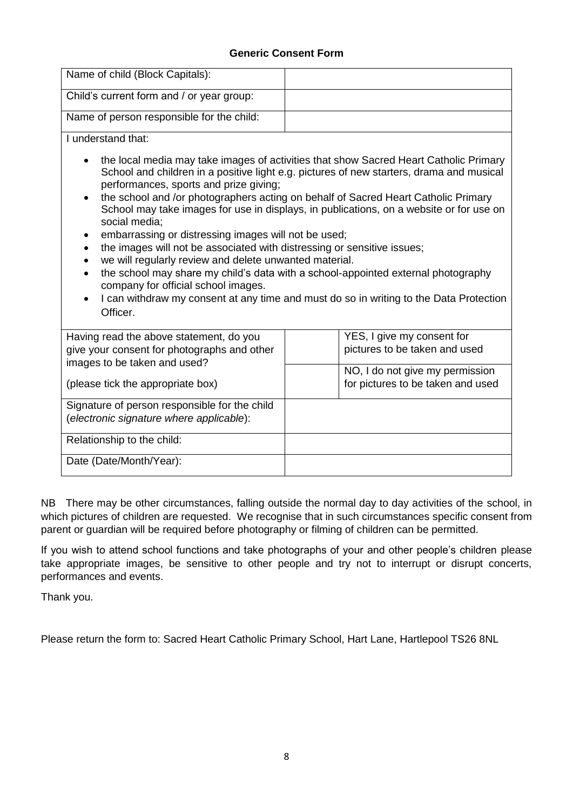## **Generic Consent Form**

| Name of child (Block Capitals):                                                                                                                                                                                                                                                                         |                                                                                                                                                                                                                                                                                                                                                                                                                                                                                                                                                   |
|---------------------------------------------------------------------------------------------------------------------------------------------------------------------------------------------------------------------------------------------------------------------------------------------------------|---------------------------------------------------------------------------------------------------------------------------------------------------------------------------------------------------------------------------------------------------------------------------------------------------------------------------------------------------------------------------------------------------------------------------------------------------------------------------------------------------------------------------------------------------|
| Child's current form and / or year group:                                                                                                                                                                                                                                                               |                                                                                                                                                                                                                                                                                                                                                                                                                                                                                                                                                   |
| Name of person responsible for the child:                                                                                                                                                                                                                                                               |                                                                                                                                                                                                                                                                                                                                                                                                                                                                                                                                                   |
| I understand that:                                                                                                                                                                                                                                                                                      |                                                                                                                                                                                                                                                                                                                                                                                                                                                                                                                                                   |
| performances, sports and prize giving;<br>social media;<br>embarrassing or distressing images will not be used;<br>the images will not be associated with distressing or sensitive issues;<br>we will regularly review and delete unwanted material.<br>company for official school images.<br>Officer. | the local media may take images of activities that show Sacred Heart Catholic Primary<br>School and children in a positive light e.g. pictures of new starters, drama and musical<br>the school and /or photographers acting on behalf of Sacred Heart Catholic Primary<br>School may take images for use in displays, in publications, on a website or for use on<br>the school may share my child's data with a school-appointed external photography<br>I can withdraw my consent at any time and must do so in writing to the Data Protection |
| Having read the above statement, do you<br>give your consent for photographs and other                                                                                                                                                                                                                  | YES, I give my consent for<br>pictures to be taken and used                                                                                                                                                                                                                                                                                                                                                                                                                                                                                       |
| images to be taken and used?<br>(please tick the appropriate box)                                                                                                                                                                                                                                       | NO, I do not give my permission<br>for pictures to be taken and used                                                                                                                                                                                                                                                                                                                                                                                                                                                                              |
| Signature of person responsible for the child<br>(electronic signature where applicable):                                                                                                                                                                                                               |                                                                                                                                                                                                                                                                                                                                                                                                                                                                                                                                                   |
| Relationship to the child:                                                                                                                                                                                                                                                                              |                                                                                                                                                                                                                                                                                                                                                                                                                                                                                                                                                   |
| Date (Date/Month/Year):                                                                                                                                                                                                                                                                                 |                                                                                                                                                                                                                                                                                                                                                                                                                                                                                                                                                   |

NB There may be other circumstances, falling outside the normal day to day activities of the school, in which pictures of children are requested. We recognise that in such circumstances specific consent from parent or guardian will be required before photography or filming of children can be permitted.

If you wish to attend school functions and take photographs of your and other people's children please take appropriate images, be sensitive to other people and try not to interrupt or disrupt concerts, performances and events.

Thank you.

Please return the form to: Sacred Heart Catholic Primary School, Hart Lane, Hartlepool TS26 8NL